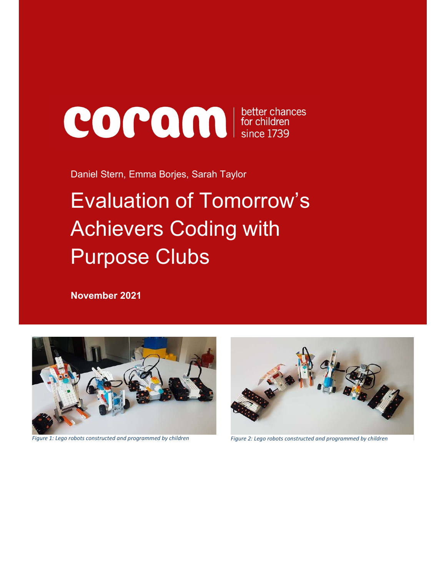# COPON Since 1739

Daniel Stern, Emma Borjes, Sarah Taylor

# Evaluation of Tomorrow's Achievers Coding with Purpose Clubs

November 2021



Figure 1: Lego robots constructed and programmed by children Figure 2: Lego robots constructed and programmed by children

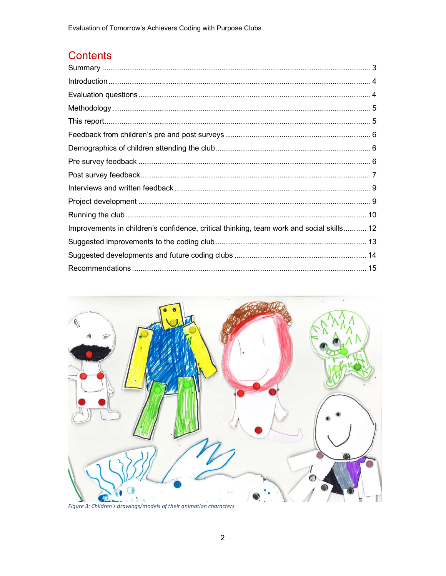# Contents

| Improvements in children's confidence, critical thinking, team work and social skills 12 |  |
|------------------------------------------------------------------------------------------|--|
|                                                                                          |  |
|                                                                                          |  |
|                                                                                          |  |

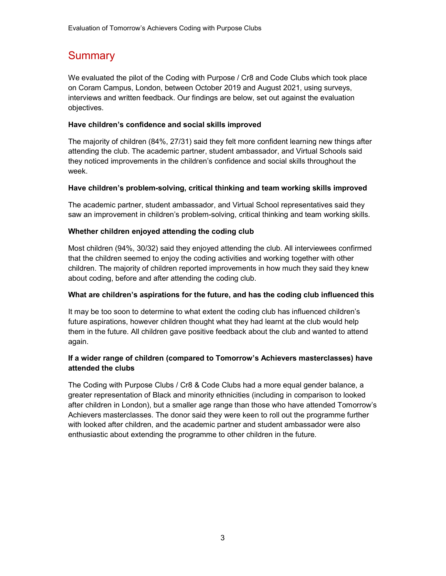# **Summary**

We evaluated the pilot of the Coding with Purpose / Cr8 and Code Clubs which took place on Coram Campus, London, between October 2019 and August 2021, using surveys, interviews and written feedback. Our findings are below, set out against the evaluation objectives.

#### Have children's confidence and social skills improved

The majority of children (84%, 27/31) said they felt more confident learning new things after attending the club. The academic partner, student ambassador, and Virtual Schools said they noticed improvements in the children's confidence and social skills throughout the week.

#### Have children's problem-solving, critical thinking and team working skills improved

The academic partner, student ambassador, and Virtual School representatives said they saw an improvement in children's problem-solving, critical thinking and team working skills.

#### Whether children enjoyed attending the coding club

Most children (94%, 30/32) said they enjoyed attending the club. All interviewees confirmed that the children seemed to enjoy the coding activities and working together with other children. The majority of children reported improvements in how much they said they knew about coding, before and after attending the coding club.

#### What are children's aspirations for the future, and has the coding club influenced this

It may be too soon to determine to what extent the coding club has influenced children's future aspirations, however children thought what they had learnt at the club would help them in the future. All children gave positive feedback about the club and wanted to attend again.

#### If a wider range of children (compared to Tomorrow's Achievers masterclasses) have attended the clubs

The Coding with Purpose Clubs / Cr8 & Code Clubs had a more equal gender balance, a greater representation of Black and minority ethnicities (including in comparison to looked after children in London), but a smaller age range than those who have attended Tomorrow's Achievers masterclasses. The donor said they were keen to roll out the programme further with looked after children, and the academic partner and student ambassador were also enthusiastic about extending the programme to other children in the future.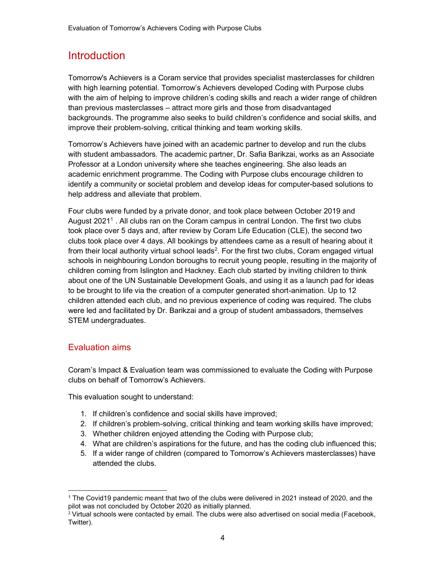# **Introduction**

Tomorrow's Achievers is a Coram service that provides specialist masterclasses for children with high learning potential. Tomorrow's Achievers developed Coding with Purpose clubs with the aim of helping to improve children's coding skills and reach a wider range of children than previous masterclasses – attract more girls and those from disadvantaged backgrounds. The programme also seeks to build children's confidence and social skills, and improve their problem-solving, critical thinking and team working skills.

Tomorrow's Achievers have joined with an academic partner to develop and run the clubs with student ambassadors. The academic partner, Dr. Safia Barikzai, works as an Associate Professor at a London university where she teaches engineering. She also leads an academic enrichment programme. The Coding with Purpose clubs encourage children to identify a community or societal problem and develop ideas for computer-based solutions to help address and alleviate that problem.

Four clubs were funded by a private donor, and took place between October 2019 and August 2021<sup>1</sup>. All clubs ran on the Coram campus in central London. The first two clubs took place over 5 days and, after review by Coram Life Education (CLE), the second two clubs took place over 4 days. All bookings by attendees came as a result of hearing about it from their local authority virtual school leads $^2$ . For the first two clubs, Coram engaged virtual schools in neighbouring London boroughs to recruit young people, resulting in the majority of children coming from Islington and Hackney. Each club started by inviting children to think about one of the UN Sustainable Development Goals, and using it as a launch pad for ideas to be brought to life via the creation of a computer generated short-animation. Up to 12 children attended each club, and no previous experience of coding was required. The clubs were led and facilitated by Dr. Barikzai and a group of student ambassadors, themselves STEM undergraduates.

#### Evaluation aims

Coram's Impact & Evaluation team was commissioned to evaluate the Coding with Purpose clubs on behalf of Tomorrow's Achievers.

This evaluation sought to understand:

- 1. If children's confidence and social skills have improved;
- 2. If children's problem-solving, critical thinking and team working skills have improved;
- 3. Whether children enjoyed attending the Coding with Purpose club;
- 4. What are children's aspirations for the future, and has the coding club influenced this;
- 5. If a wider range of children (compared to Tomorrow's Achievers masterclasses) have attended the clubs.

<sup>1</sup> 1 The Covid19 pandemic meant that two of the clubs were delivered in 2021 instead of 2020, and the pilot was not concluded by October 2020 as initially planned.

<sup>&</sup>lt;sup>2</sup> Virtual schools were contacted by email. The clubs were also advertised on social media (Facebook, Twitter).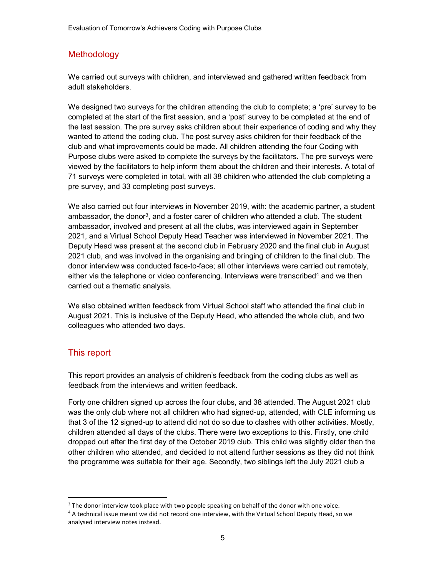#### **Methodology**

We carried out surveys with children, and interviewed and gathered written feedback from adult stakeholders.

We designed two surveys for the children attending the club to complete; a 'pre' survey to be completed at the start of the first session, and a 'post' survey to be completed at the end of the last session. The pre survey asks children about their experience of coding and why they wanted to attend the coding club. The post survey asks children for their feedback of the club and what improvements could be made. All children attending the four Coding with Purpose clubs were asked to complete the surveys by the facilitators. The pre surveys were viewed by the facilitators to help inform them about the children and their interests. A total of 71 surveys were completed in total, with all 38 children who attended the club completing a pre survey, and 33 completing post surveys.

We also carried out four interviews in November 2019, with: the academic partner, a student ambassador, the donor<sup>3</sup>, and a foster carer of children who attended a club. The student ambassador, involved and present at all the clubs, was interviewed again in September 2021, and a Virtual School Deputy Head Teacher was interviewed in November 2021. The Deputy Head was present at the second club in February 2020 and the final club in August 2021 club, and was involved in the organising and bringing of children to the final club. The donor interview was conducted face-to-face; all other interviews were carried out remotely, either via the telephone or video conferencing. Interviews were transcribed<sup>4</sup> and we then carried out a thematic analysis.

We also obtained written feedback from Virtual School staff who attended the final club in August 2021. This is inclusive of the Deputy Head, who attended the whole club, and two colleagues who attended two days.

#### This report

1

This report provides an analysis of children's feedback from the coding clubs as well as feedback from the interviews and written feedback.

Forty one children signed up across the four clubs, and 38 attended. The August 2021 club was the only club where not all children who had signed-up, attended, with CLE informing us that 3 of the 12 signed-up to attend did not do so due to clashes with other activities. Mostly, children attended all days of the clubs. There were two exceptions to this. Firstly, one child dropped out after the first day of the October 2019 club. This child was slightly older than the other children who attended, and decided to not attend further sessions as they did not think the programme was suitable for their age. Secondly, two siblings left the July 2021 club a

<sup>&</sup>lt;sup>3</sup> The donor interview took place with two people speaking on behalf of the donor with one voice.

<sup>4</sup> A technical issue meant we did not record one interview, with the Virtual School Deputy Head, so we analysed interview notes instead.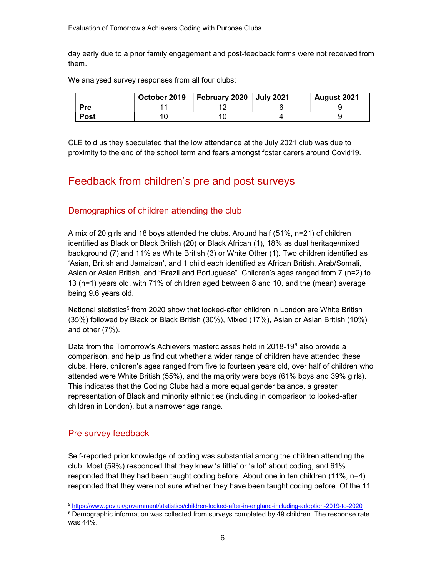day early due to a prior family engagement and post-feedback forms were not received from them.

We analysed survey responses from all four clubs:

|             | October 2019 | February 2020 $\vert$ July 2021 | August 2021 |
|-------------|--------------|---------------------------------|-------------|
| Pre         |              |                                 |             |
| <b>Post</b> |              |                                 |             |

CLE told us they speculated that the low attendance at the July 2021 club was due to proximity to the end of the school term and fears amongst foster carers around Covid19.

# Feedback from children's pre and post surveys

#### Demographics of children attending the club

A mix of 20 girls and 18 boys attended the clubs. Around half (51%, n=21) of children identified as Black or Black British (20) or Black African (1), 18% as dual heritage/mixed background (7) and 11% as White British (3) or White Other (1). Two children identified as 'Asian, British and Jamaican', and 1 child each identified as African British, Arab/Somali, Asian or Asian British, and "Brazil and Portuguese". Children's ages ranged from 7 (n=2) to 13 (n=1) years old, with 71% of children aged between 8 and 10, and the (mean) average being 9.6 years old.

National statistics<sup>5</sup> from 2020 show that looked-after children in London are White British (35%) followed by Black or Black British (30%), Mixed (17%), Asian or Asian British (10%) and other (7%).

Data from the Tomorrow's Achievers masterclasses held in 2018-19<sup>6</sup> also provide a comparison, and help us find out whether a wider range of children have attended these clubs. Here, children's ages ranged from five to fourteen years old, over half of children who attended were White British (55%), and the majority were boys (61% boys and 39% girls). This indicates that the Coding Clubs had a more equal gender balance, a greater representation of Black and minority ethnicities (including in comparison to looked-after children in London), but a narrower age range.

#### Pre survey feedback

1

Self-reported prior knowledge of coding was substantial among the children attending the club. Most (59%) responded that they knew 'a little' or 'a lot' about coding, and 61% responded that they had been taught coding before. About one in ten children (11%, n=4) responded that they were not sure whether they have been taught coding before. Of the 11

<sup>5</sup> https://www.gov.uk/government/statistics/children-looked-after-in-england-including-adoption-2019-to-2020

<sup>&</sup>lt;sup>6</sup> Demographic information was collected from surveys completed by 49 children. The response rate was 44%.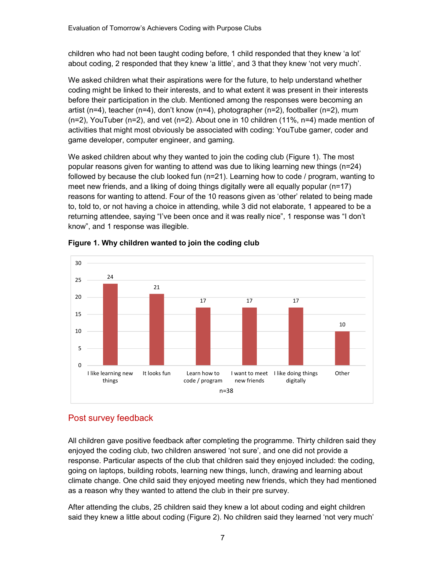children who had not been taught coding before, 1 child responded that they knew 'a lot' about coding, 2 responded that they knew 'a little', and 3 that they knew 'not very much'.

We asked children what their aspirations were for the future, to help understand whether coding might be linked to their interests, and to what extent it was present in their interests before their participation in the club. Mentioned among the responses were becoming an artist (n=4), teacher (n=4), don't know (n=4), photographer (n=2), footballer (n=2), mum (n=2), YouTuber (n=2), and vet (n=2). About one in 10 children (11%, n=4) made mention of activities that might most obviously be associated with coding: YouTube gamer, coder and game developer, computer engineer, and gaming.

We asked children about why they wanted to join the coding club (Figure 1). The most popular reasons given for wanting to attend was due to liking learning new things (n=24) followed by because the club looked fun (n=21). Learning how to code / program, wanting to meet new friends, and a liking of doing things digitally were all equally popular (n=17) reasons for wanting to attend. Four of the 10 reasons given as 'other' related to being made to, told to, or not having a choice in attending, while 3 did not elaborate, 1 appeared to be a returning attendee, saying "I've been once and it was really nice", 1 response was "I don't know", and 1 response was illegible.



#### Figure 1. Why children wanted to join the coding club

#### Post survey feedback

All children gave positive feedback after completing the programme. Thirty children said they enjoyed the coding club, two children answered 'not sure', and one did not provide a response. Particular aspects of the club that children said they enjoyed included: the coding, going on laptops, building robots, learning new things, lunch, drawing and learning about climate change. One child said they enjoyed meeting new friends, which they had mentioned as a reason why they wanted to attend the club in their pre survey.

After attending the clubs, 25 children said they knew a lot about coding and eight children said they knew a little about coding (Figure 2). No children said they learned 'not very much'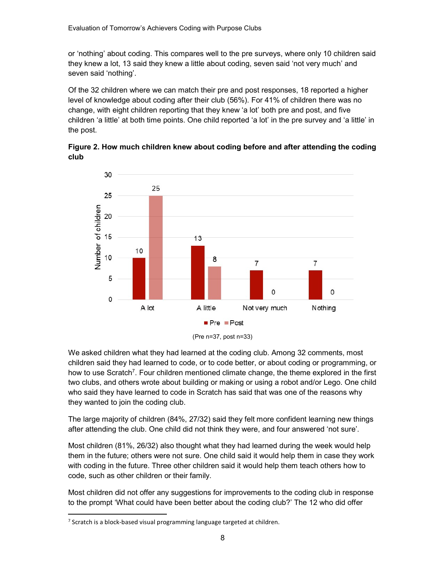or 'nothing' about coding. This compares well to the pre surveys, where only 10 children said they knew a lot, 13 said they knew a little about coding, seven said 'not very much' and seven said 'nothing'.

Of the 32 children where we can match their pre and post responses, 18 reported a higher level of knowledge about coding after their club (56%). For 41% of children there was no change, with eight children reporting that they knew 'a lot' both pre and post, and five children 'a little' at both time points. One child reported 'a lot' in the pre survey and 'a little' in the post.

Figure 2. How much children knew about coding before and after attending the coding club



<sup>(</sup>Pre n=37, post n=33)

We asked children what they had learned at the coding club. Among 32 comments, most children said they had learned to code, or to code better, or about coding or programming, or how to use Scratch<sup>7</sup>. Four children mentioned climate change, the theme explored in the first two clubs, and others wrote about building or making or using a robot and/or Lego. One child who said they have learned to code in Scratch has said that was one of the reasons why they wanted to join the coding club.

The large majority of children (84%, 27/32) said they felt more confident learning new things after attending the club. One child did not think they were, and four answered 'not sure'.

Most children (81%, 26/32) also thought what they had learned during the week would help them in the future; others were not sure. One child said it would help them in case they work with coding in the future. Three other children said it would help them teach others how to code, such as other children or their family.

Most children did not offer any suggestions for improvements to the coding club in response to the prompt 'What could have been better about the coding club?' The 12 who did offer

1

<sup>&</sup>lt;sup>7</sup> Scratch is a block-based visual programming language targeted at children.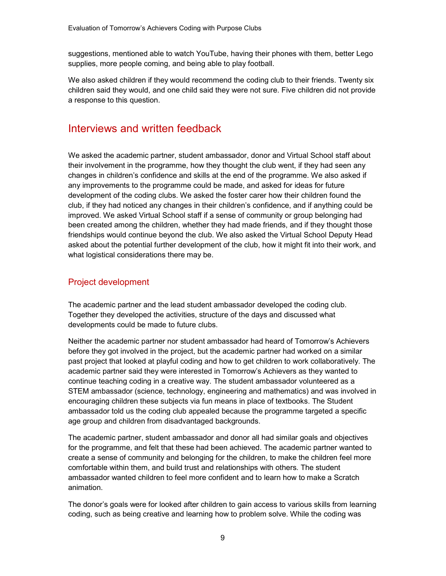suggestions, mentioned able to watch YouTube, having their phones with them, better Lego supplies, more people coming, and being able to play football.

We also asked children if they would recommend the coding club to their friends. Twenty six children said they would, and one child said they were not sure. Five children did not provide a response to this question.

# Interviews and written feedback

We asked the academic partner, student ambassador, donor and Virtual School staff about their involvement in the programme, how they thought the club went, if they had seen any changes in children's confidence and skills at the end of the programme. We also asked if any improvements to the programme could be made, and asked for ideas for future development of the coding clubs. We asked the foster carer how their children found the club, if they had noticed any changes in their children's confidence, and if anything could be improved. We asked Virtual School staff if a sense of community or group belonging had been created among the children, whether they had made friends, and if they thought those friendships would continue beyond the club. We also asked the Virtual School Deputy Head asked about the potential further development of the club, how it might fit into their work, and what logistical considerations there may be.

#### Project development

The academic partner and the lead student ambassador developed the coding club. Together they developed the activities, structure of the days and discussed what developments could be made to future clubs.

Neither the academic partner nor student ambassador had heard of Tomorrow's Achievers before they got involved in the project, but the academic partner had worked on a similar past project that looked at playful coding and how to get children to work collaboratively. The academic partner said they were interested in Tomorrow's Achievers as they wanted to continue teaching coding in a creative way. The student ambassador volunteered as a STEM ambassador (science, technology, engineering and mathematics) and was involved in encouraging children these subjects via fun means in place of textbooks. The Student ambassador told us the coding club appealed because the programme targeted a specific age group and children from disadvantaged backgrounds.

The academic partner, student ambassador and donor all had similar goals and objectives for the programme, and felt that these had been achieved. The academic partner wanted to create a sense of community and belonging for the children, to make the children feel more comfortable within them, and build trust and relationships with others. The student ambassador wanted children to feel more confident and to learn how to make a Scratch animation.

The donor's goals were for looked after children to gain access to various skills from learning coding, such as being creative and learning how to problem solve. While the coding was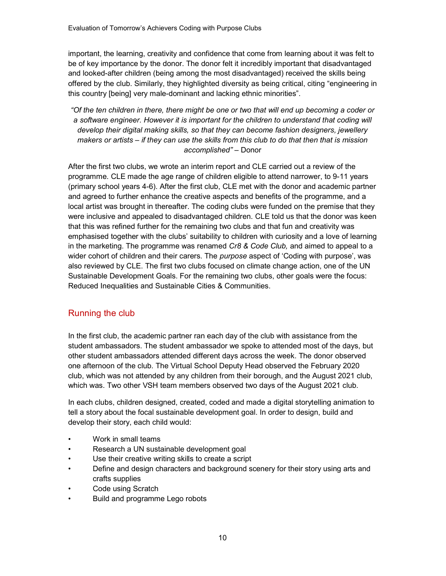important, the learning, creativity and confidence that come from learning about it was felt to be of key importance by the donor. The donor felt it incredibly important that disadvantaged and looked-after children (being among the most disadvantaged) received the skills being offered by the club. Similarly, they highlighted diversity as being critical, citing "engineering in this country [being] very male-dominant and lacking ethnic minorities".

"Of the ten children in there, there might be one or two that will end up becoming a coder or a software engineer. However it is important for the children to understand that coding will develop their digital making skills, so that they can become fashion designers, jewellery makers or artists – if they can use the skills from this club to do that then that is mission accomplished" – Donor

After the first two clubs, we wrote an interim report and CLE carried out a review of the programme. CLE made the age range of children eligible to attend narrower, to 9-11 years (primary school years 4-6). After the first club, CLE met with the donor and academic partner and agreed to further enhance the creative aspects and benefits of the programme, and a local artist was brought in thereafter. The coding clubs were funded on the premise that they were inclusive and appealed to disadvantaged children. CLE told us that the donor was keen that this was refined further for the remaining two clubs and that fun and creativity was emphasised together with the clubs' suitability to children with curiosity and a love of learning in the marketing. The programme was renamed  $Cr8$  & Code Club, and aimed to appeal to a wider cohort of children and their carers. The *purpose* aspect of 'Coding with purpose', was also reviewed by CLE. The first two clubs focused on climate change action, one of the UN Sustainable Development Goals. For the remaining two clubs, other goals were the focus: Reduced Inequalities and Sustainable Cities & Communities.

#### Running the club

In the first club, the academic partner ran each day of the club with assistance from the student ambassadors. The student ambassador we spoke to attended most of the days, but other student ambassadors attended different days across the week. The donor observed one afternoon of the club. The Virtual School Deputy Head observed the February 2020 club, which was not attended by any children from their borough, and the August 2021 club, which was. Two other VSH team members observed two days of the August 2021 club.

In each clubs, children designed, created, coded and made a digital storytelling animation to tell a story about the focal sustainable development goal. In order to design, build and develop their story, each child would:

- Work in small teams
- Research a UN sustainable development goal
- Use their creative writing skills to create a script
- Define and design characters and background scenery for their story using arts and crafts supplies
- Code using Scratch
- Build and programme Lego robots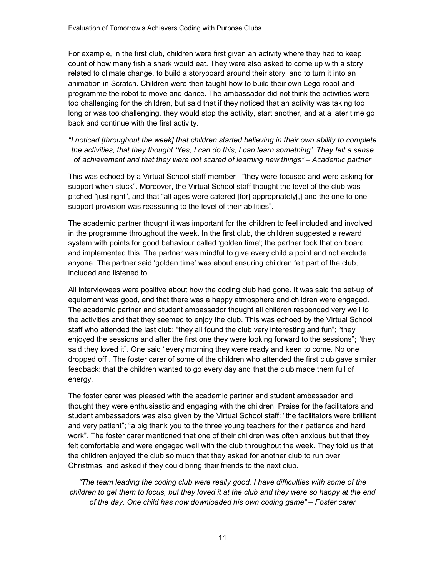For example, in the first club, children were first given an activity where they had to keep count of how many fish a shark would eat. They were also asked to come up with a story related to climate change, to build a storyboard around their story, and to turn it into an animation in Scratch. Children were then taught how to build their own Lego robot and programme the robot to move and dance. The ambassador did not think the activities were too challenging for the children, but said that if they noticed that an activity was taking too long or was too challenging, they would stop the activity, start another, and at a later time go back and continue with the first activity.

"I noticed [throughout the week] that children started believing in their own ability to complete the activities, that they thought 'Yes, I can do this, I can learn something'. They felt a sense of achievement and that they were not scared of learning new things" – Academic partner

This was echoed by a Virtual School staff member - "they were focused and were asking for support when stuck". Moreover, the Virtual School staff thought the level of the club was pitched "just right", and that "all ages were catered [for] appropriately[,] and the one to one support provision was reassuring to the level of their abilities".

The academic partner thought it was important for the children to feel included and involved in the programme throughout the week. In the first club, the children suggested a reward system with points for good behaviour called 'golden time'; the partner took that on board and implemented this. The partner was mindful to give every child a point and not exclude anyone. The partner said 'golden time' was about ensuring children felt part of the club, included and listened to.

All interviewees were positive about how the coding club had gone. It was said the set-up of equipment was good, and that there was a happy atmosphere and children were engaged. The academic partner and student ambassador thought all children responded very well to the activities and that they seemed to enjoy the club. This was echoed by the Virtual School staff who attended the last club: "they all found the club very interesting and fun"; "they enjoyed the sessions and after the first one they were looking forward to the sessions"; "they said they loved it". One said "every morning they were ready and keen to come. No one dropped off". The foster carer of some of the children who attended the first club gave similar feedback: that the children wanted to go every day and that the club made them full of energy.

The foster carer was pleased with the academic partner and student ambassador and thought they were enthusiastic and engaging with the children. Praise for the facilitators and student ambassadors was also given by the Virtual School staff: "the facilitators were brilliant and very patient"; "a big thank you to the three young teachers for their patience and hard work". The foster carer mentioned that one of their children was often anxious but that they felt comfortable and were engaged well with the club throughout the week. They told us that the children enjoyed the club so much that they asked for another club to run over Christmas, and asked if they could bring their friends to the next club.

"The team leading the coding club were really good. I have difficulties with some of the children to get them to focus, but they loved it at the club and they were so happy at the end of the day. One child has now downloaded his own coding game" – Foster carer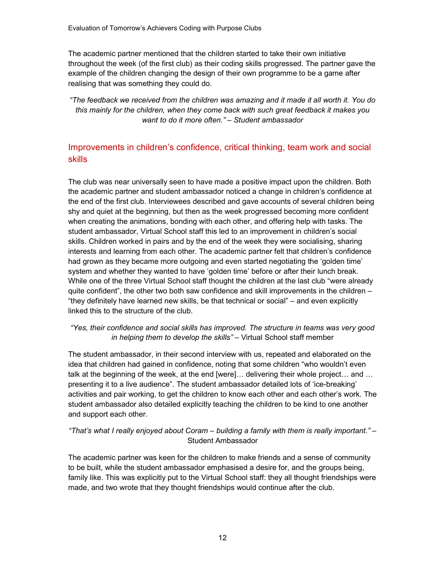The academic partner mentioned that the children started to take their own initiative throughout the week (of the first club) as their coding skills progressed. The partner gave the example of the children changing the design of their own programme to be a game after realising that was something they could do.

"The feedback we received from the children was amazing and it made it all worth it. You do this mainly for the children, when they come back with such great feedback it makes you want to do it more often." – Student ambassador

#### Improvements in children's confidence, critical thinking, team work and social skills

The club was near universally seen to have made a positive impact upon the children. Both the academic partner and student ambassador noticed a change in children's confidence at the end of the first club. Interviewees described and gave accounts of several children being shy and quiet at the beginning, but then as the week progressed becoming more confident when creating the animations, bonding with each other, and offering help with tasks. The student ambassador, Virtual School staff this led to an improvement in children's social skills. Children worked in pairs and by the end of the week they were socialising, sharing interests and learning from each other. The academic partner felt that children's confidence had grown as they became more outgoing and even started negotiating the 'golden time' system and whether they wanted to have 'golden time' before or after their lunch break. While one of the three Virtual School staff thought the children at the last club "were already quite confident", the other two both saw confidence and skill improvements in the children – "they definitely have learned new skills, be that technical or social" – and even explicitly linked this to the structure of the club.

#### "Yes, their confidence and social skills has improved. The structure in teams was very good in helping them to develop the skills" – Virtual School staff member

The student ambassador, in their second interview with us, repeated and elaborated on the idea that children had gained in confidence, noting that some children "who wouldn't even talk at the beginning of the week, at the end [were]… delivering their whole project… and … presenting it to a live audience". The student ambassador detailed lots of 'ice-breaking' activities and pair working, to get the children to know each other and each other's work. The student ambassador also detailed explicitly teaching the children to be kind to one another and support each other.

#### "That's what I really enjoyed about Coram – building a family with them is really important." – Student Ambassador

The academic partner was keen for the children to make friends and a sense of community to be built, while the student ambassador emphasised a desire for, and the groups being, family like. This was explicitly put to the Virtual School staff: they all thought friendships were made, and two wrote that they thought friendships would continue after the club.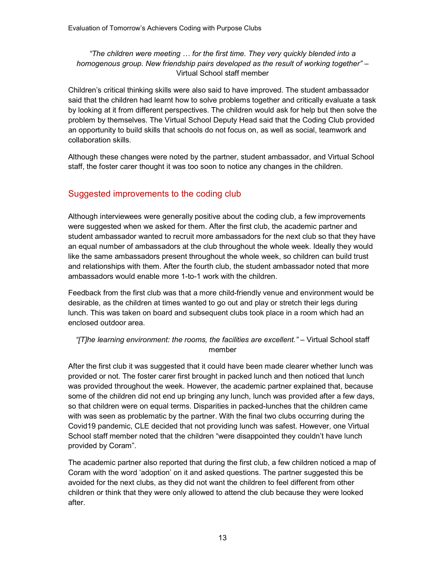#### "The children were meeting … for the first time. They very quickly blended into a homogenous group. New friendship pairs developed as the result of working together" – Virtual School staff member

Children's critical thinking skills were also said to have improved. The student ambassador said that the children had learnt how to solve problems together and critically evaluate a task by looking at it from different perspectives. The children would ask for help but then solve the problem by themselves. The Virtual School Deputy Head said that the Coding Club provided an opportunity to build skills that schools do not focus on, as well as social, teamwork and collaboration skills.

Although these changes were noted by the partner, student ambassador, and Virtual School staff, the foster carer thought it was too soon to notice any changes in the children.

#### Suggested improvements to the coding club

Although interviewees were generally positive about the coding club, a few improvements were suggested when we asked for them. After the first club, the academic partner and student ambassador wanted to recruit more ambassadors for the next club so that they have an equal number of ambassadors at the club throughout the whole week. Ideally they would like the same ambassadors present throughout the whole week, so children can build trust and relationships with them. After the fourth club, the student ambassador noted that more ambassadors would enable more 1-to-1 work with the children.

Feedback from the first club was that a more child-friendly venue and environment would be desirable, as the children at times wanted to go out and play or stretch their legs during lunch. This was taken on board and subsequent clubs took place in a room which had an enclosed outdoor area.

#### "[T]he learning environment: the rooms, the facilities are excellent." – Virtual School staff member

After the first club it was suggested that it could have been made clearer whether lunch was provided or not. The foster carer first brought in packed lunch and then noticed that lunch was provided throughout the week. However, the academic partner explained that, because some of the children did not end up bringing any lunch, lunch was provided after a few days, so that children were on equal terms. Disparities in packed-lunches that the children came with was seen as problematic by the partner. With the final two clubs occurring during the Covid19 pandemic, CLE decided that not providing lunch was safest. However, one Virtual School staff member noted that the children "were disappointed they couldn't have lunch provided by Coram".

The academic partner also reported that during the first club, a few children noticed a map of Coram with the word 'adoption' on it and asked questions. The partner suggested this be avoided for the next clubs, as they did not want the children to feel different from other children or think that they were only allowed to attend the club because they were looked after.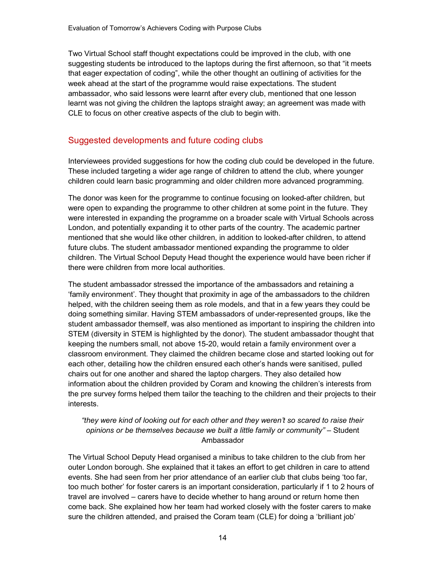Two Virtual School staff thought expectations could be improved in the club, with one suggesting students be introduced to the laptops during the first afternoon, so that "it meets that eager expectation of coding", while the other thought an outlining of activities for the week ahead at the start of the programme would raise expectations. The student ambassador, who said lessons were learnt after every club, mentioned that one lesson learnt was not giving the children the laptops straight away; an agreement was made with CLE to focus on other creative aspects of the club to begin with.

#### Suggested developments and future coding clubs

Interviewees provided suggestions for how the coding club could be developed in the future. These included targeting a wider age range of children to attend the club, where younger children could learn basic programming and older children more advanced programming.

The donor was keen for the programme to continue focusing on looked-after children, but were open to expanding the programme to other children at some point in the future. They were interested in expanding the programme on a broader scale with Virtual Schools across London, and potentially expanding it to other parts of the country. The academic partner mentioned that she would like other children, in addition to looked-after children, to attend future clubs. The student ambassador mentioned expanding the programme to older children. The Virtual School Deputy Head thought the experience would have been richer if there were children from more local authorities.

The student ambassador stressed the importance of the ambassadors and retaining a 'family environment'. They thought that proximity in age of the ambassadors to the children helped, with the children seeing them as role models, and that in a few years they could be doing something similar. Having STEM ambassadors of under-represented groups, like the student ambassador themself, was also mentioned as important to inspiring the children into STEM (diversity in STEM is highlighted by the donor). The student ambassador thought that keeping the numbers small, not above 15-20, would retain a family environment over a classroom environment. They claimed the children became close and started looking out for each other, detailing how the children ensured each other's hands were sanitised, pulled chairs out for one another and shared the laptop chargers. They also detailed how information about the children provided by Coram and knowing the children's interests from the pre survey forms helped them tailor the teaching to the children and their projects to their interests.

#### "they were kind of looking out for each other and they weren't so scared to raise their opinions or be themselves because we built a little family or community" – Student Ambassador

The Virtual School Deputy Head organised a minibus to take children to the club from her outer London borough. She explained that it takes an effort to get children in care to attend events. She had seen from her prior attendance of an earlier club that clubs being 'too far, too much bother' for foster carers is an important consideration, particularly if 1 to 2 hours of travel are involved – carers have to decide whether to hang around or return home then come back. She explained how her team had worked closely with the foster carers to make sure the children attended, and praised the Coram team (CLE) for doing a 'brilliant job'